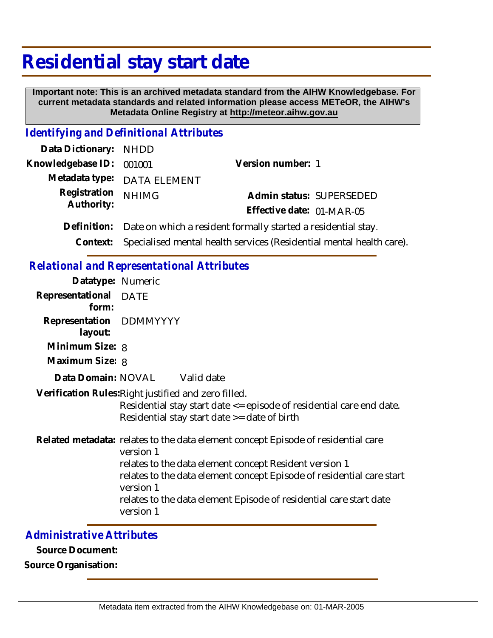# **Residential stay start date**

 **Important note: This is an archived metadata standard from the AIHW Knowledgebase. For current metadata standards and related information please access METeOR, the AIHW's Metadata Online Registry at http://meteor.aihw.gov.au**

#### *Identifying and Definitional Attributes*

| Data Dictionary: NHDD    |                                                                               |                           |                          |
|--------------------------|-------------------------------------------------------------------------------|---------------------------|--------------------------|
| Knowledgebase ID: 001001 |                                                                               | Version number: 1         |                          |
|                          | Metadata type: DATA ELEMENT                                                   |                           |                          |
| Registration             | <b>NHIMG</b>                                                                  |                           | Admin status: SUPERSEDED |
| Authority:               |                                                                               | Effective date: 01-MAR-05 |                          |
|                          | Definition: Date on which a resident formally started a residential stay.     |                           |                          |
|                          | Context: Specialised mental health services (Residential mental health care). |                           |                          |

### *Relational and Representational Attributes*

| Datatype: Numeric                  |                                                                                                                                                                                                                                                                                                                                   |
|------------------------------------|-----------------------------------------------------------------------------------------------------------------------------------------------------------------------------------------------------------------------------------------------------------------------------------------------------------------------------------|
| Representational DATE<br>form:     |                                                                                                                                                                                                                                                                                                                                   |
| Representation DDMMYYYY<br>layout: |                                                                                                                                                                                                                                                                                                                                   |
| Minimum Size: 8                    |                                                                                                                                                                                                                                                                                                                                   |
| Maximum Size: 8                    |                                                                                                                                                                                                                                                                                                                                   |
|                                    | Data Domain: NOVAL Valid date                                                                                                                                                                                                                                                                                                     |
|                                    | Verification Rules: Right justified and zero filled.<br>Residential stay start date <= episode of residential care end date.<br>Residential stay start date >= date of birth                                                                                                                                                      |
|                                    | Related metadata: relates to the data element concept Episode of residential care<br>version 1<br>relates to the data element concept Resident version 1<br>relates to the data element concept Episode of residential care start<br>version 1<br>relates to the data element Episode of residential care start date<br>version 1 |

### *Administrative Attributes*

**Source Document:**

**Source Organisation:**